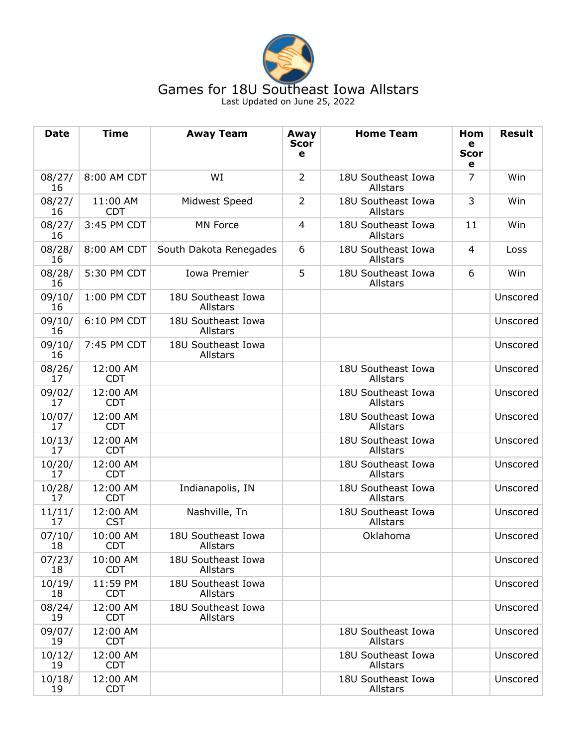

## Games for 18U Southeast Iowa Allstars Last Updated on June 25, 2022

**Date Time Away Team Away Scor e Home Team Hom e Scor e Result** 08/27/ 16 8:00 AM CDT **WI** 2 18U Southeast Iowa Allstars 7 Win 08/27/ 16 11:00 AM CDT Midwest Speed  $\begin{vmatrix} 2 & 180 \\ 2 & 180 \end{vmatrix}$  Southeast Iowa Allstars 3 Win 08/27/ 16 3:45 PM CDT MN Force 4 18U Southeast Iowa Allstars 11 Win 08/28/ 16 8:00 AM CDT South Dakota Renegades 6 18U Southeast Iowa Allstars 4 Loss 08/28/ 16 5:30 PM CDT Iowa Premier 5 18U Southeast Iowa Allstars  $6$  Win 09/10/ 16 1:00 PM CDT 18U Southeast Iowa Allstars Unscored 09/10/ 16 6:10 PM CDT 18U Southeast Iowa Allstars Unscored 09/10/ 16 7:45 PM CDT 18U Southeast Iowa Allstars Unscored 08/26/ 17 12:00 AM CDT 18U Southeast Iowa Allstars Unscored 09/02/ 17 12:00 AM CDT 18U Southeast Iowa **Allstars** Unscored 10/07/ 17 12:00 AM CDT 18U Southeast Iowa Allstars Unscored 10/13/ 17 12:00 AM CDT 18U Southeast Iowa Allstars Unscored 10/20/ 17 12:00 AM CDT 18U Southeast Iowa Allstars Unscored 10/28/ 17 12:00 AM CDT Indianapolis, IN 18U Southeast Iowa Allstars Unscored 11/11/ 17 12:00 AM **CST** Nashville, Tn | | 18U Southeast Iowa **Allstars** Unscored 07/10/ 18 10:00 AM CDT 18U Southeast Iowa Allstars Oklahoma Unscored 07/23/ 18 10:00 AM CDT 18U Southeast Iowa Allstars Unscored 10/19/ 18 11:59 PM CDT 18U Southeast Iowa Allstars Unscored 08/24/ 19 12:00 AM CDT 18U Southeast Iowa Allstars Unscored 09/07/ 19 12:00 AM CDT 18U Southeast Iowa **Allstars** Unscored 10/12/ 19 12:00 AM CDT 18U Southeast Iowa Allstars Unscored 10/18/ 19 12:00 AM CDT 18U Southeast Iowa Allstars Unscored